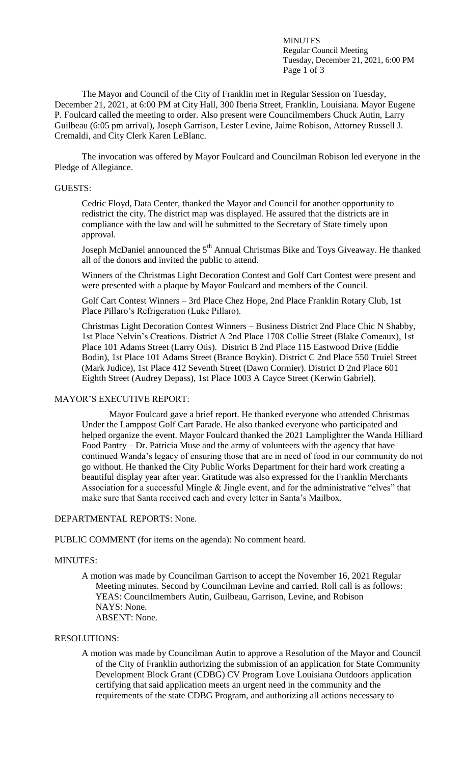MINUTES Regular Council Meeting Tuesday, December 21, 2021, 6:00 PM Page 1 of 3

The Mayor and Council of the City of Franklin met in Regular Session on Tuesday, December 21, 2021, at 6:00 PM at City Hall, 300 Iberia Street, Franklin, Louisiana. Mayor Eugene P. Foulcard called the meeting to order. Also present were Councilmembers Chuck Autin, Larry Guilbeau (6:05 pm arrival), Joseph Garrison, Lester Levine, Jaime Robison, Attorney Russell J. Cremaldi, and City Clerk Karen LeBlanc.

The invocation was offered by Mayor Foulcard and Councilman Robison led everyone in the Pledge of Allegiance.

#### GUESTS:

Cedric Floyd, Data Center, thanked the Mayor and Council for another opportunity to redistrict the city. The district map was displayed. He assured that the districts are in compliance with the law and will be submitted to the Secretary of State timely upon approval.

Joseph McDaniel announced the  $5<sup>th</sup>$  Annual Christmas Bike and Toys Giveaway. He thanked all of the donors and invited the public to attend.

Winners of the Christmas Light Decoration Contest and Golf Cart Contest were present and were presented with a plaque by Mayor Foulcard and members of the Council.

Golf Cart Contest Winners – 3rd Place Chez Hope, 2nd Place Franklin Rotary Club, 1st Place Pillaro's Refrigeration (Luke Pillaro).

Christmas Light Decoration Contest Winners – Business District 2nd Place Chic N Shabby, 1st Place Nelvin's Creations. District A 2nd Place 1708 Collie Street (Blake Comeaux), 1st Place 101 Adams Street (Larry Otis). District B 2nd Place 115 Eastwood Drive (Eddie Bodin), 1st Place 101 Adams Street (Brance Boykin). District C 2nd Place 550 Truiel Street (Mark Judice), 1st Place 412 Seventh Street (Dawn Cormier). District D 2nd Place 601 Eighth Street (Audrey Depass), 1st Place 1003 A Cayce Street (Kerwin Gabriel).

## MAYOR'S EXECUTIVE REPORT:

Mayor Foulcard gave a brief report. He thanked everyone who attended Christmas Under the Lamppost Golf Cart Parade. He also thanked everyone who participated and helped organize the event. Mayor Foulcard thanked the 2021 Lamplighter the Wanda Hilliard Food Pantry – Dr. Patricia Muse and the army of volunteers with the agency that have continued Wanda's legacy of ensuring those that are in need of food in our community do not go without. He thanked the City Public Works Department for their hard work creating a beautiful display year after year. Gratitude was also expressed for the Franklin Merchants Association for a successful Mingle & Jingle event, and for the administrative "elves" that make sure that Santa received each and every letter in Santa's Mailbox.

## DEPARTMENTAL REPORTS: None.

PUBLIC COMMENT (for items on the agenda): No comment heard.

### MINUTES:

A motion was made by Councilman Garrison to accept the November 16, 2021 Regular Meeting minutes. Second by Councilman Levine and carried. Roll call is as follows: YEAS: Councilmembers Autin, Guilbeau, Garrison, Levine, and Robison NAYS: None. ABSENT: None.

## RESOLUTIONS:

A motion was made by Councilman Autin to approve a Resolution of the Mayor and Council of the City of Franklin authorizing the submission of an application for State Community Development Block Grant (CDBG) CV Program Love Louisiana Outdoors application certifying that said application meets an urgent need in the community and the requirements of the state CDBG Program, and authorizing all actions necessary to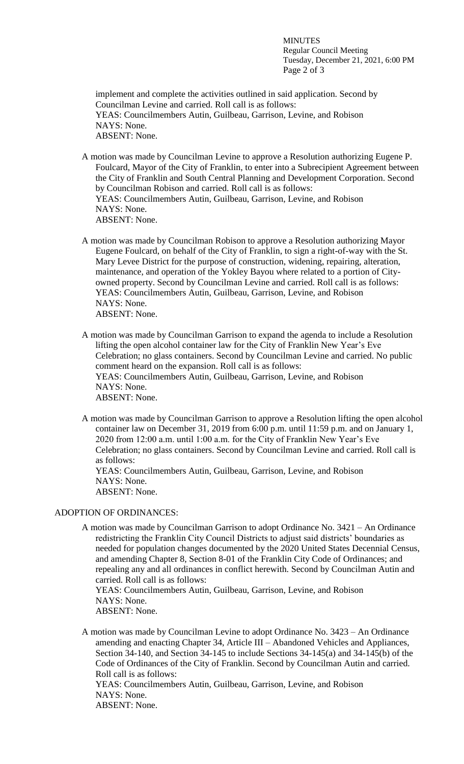MINUTES Regular Council Meeting Tuesday, December 21, 2021, 6:00 PM Page 2 of 3

implement and complete the activities outlined in said application. Second by Councilman Levine and carried. Roll call is as follows: YEAS: Councilmembers Autin, Guilbeau, Garrison, Levine, and Robison NAYS: None. ABSENT: None.

A motion was made by Councilman Levine to approve a Resolution authorizing Eugene P. Foulcard, Mayor of the City of Franklin, to enter into a Subrecipient Agreement between the City of Franklin and South Central Planning and Development Corporation. Second by Councilman Robison and carried. Roll call is as follows: YEAS: Councilmembers Autin, Guilbeau, Garrison, Levine, and Robison NAYS: None. ABSENT: None.

A motion was made by Councilman Robison to approve a Resolution authorizing Mayor Eugene Foulcard, on behalf of the City of Franklin, to sign a right-of-way with the St. Mary Levee District for the purpose of construction, widening, repairing, alteration, maintenance, and operation of the Yokley Bayou where related to a portion of Cityowned property. Second by Councilman Levine and carried. Roll call is as follows: YEAS: Councilmembers Autin, Guilbeau, Garrison, Levine, and Robison NAYS: None. ABSENT: None.

A motion was made by Councilman Garrison to expand the agenda to include a Resolution lifting the open alcohol container law for the City of Franklin New Year's Eve Celebration; no glass containers. Second by Councilman Levine and carried. No public comment heard on the expansion. Roll call is as follows: YEAS: Councilmembers Autin, Guilbeau, Garrison, Levine, and Robison NAYS: None. ABSENT: None.

A motion was made by Councilman Garrison to approve a Resolution lifting the open alcohol container law on December 31, 2019 from 6:00 p.m. until 11:59 p.m. and on January 1, 2020 from 12:00 a.m. until 1:00 a.m. for the City of Franklin New Year's Eve Celebration; no glass containers. Second by Councilman Levine and carried. Roll call is as follows:

YEAS: Councilmembers Autin, Guilbeau, Garrison, Levine, and Robison NAYS: None. ABSENT: None.

### ADOPTION OF ORDINANCES:

A motion was made by Councilman Garrison to adopt Ordinance No. 3421 – An Ordinance redistricting the Franklin City Council Districts to adjust said districts' boundaries as needed for population changes documented by the 2020 United States Decennial Census, and amending Chapter 8, Section 8-01 of the Franklin City Code of Ordinances; and repealing any and all ordinances in conflict herewith. Second by Councilman Autin and carried. Roll call is as follows:

YEAS: Councilmembers Autin, Guilbeau, Garrison, Levine, and Robison NAYS: None. ABSENT: None.

A motion was made by Councilman Levine to adopt Ordinance No. 3423 – An Ordinance amending and enacting Chapter 34, Article III – Abandoned Vehicles and Appliances, Section 34-140, and Section 34-145 to include Sections 34-145(a) and 34-145(b) of the Code of Ordinances of the City of Franklin. Second by Councilman Autin and carried. Roll call is as follows:

YEAS: Councilmembers Autin, Guilbeau, Garrison, Levine, and Robison NAYS: None. ABSENT: None.